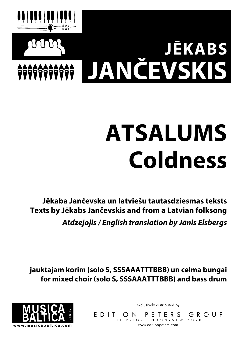

## **ATSALUMS Coldness**

**Jēkaba Jančevska un latviešu tautasdziesmas teksts Texts by Jēkabs Jančevskis and from a Latvian folksong Atdzejojis / English translation by Jānis Elsbergs**

**jauktajam korim (solo S, SSSAAATTTBBB) un celma bungai for mixed choir (solo S, SSSAAATTTBBB) and bass drum**



exclusively distributed by

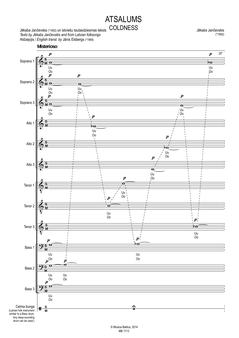## ATSALUMS COLDNESS Jančevskis

Jēkaba Jančevska (\*1992) un latviešu tautasdziesmas teksts *Texts by Jēkabs Jančevskis and from Latvian folksongs* Atdzejojis / *English transl. by* Jānis Elsbergs (\*1969)

(\*1992)

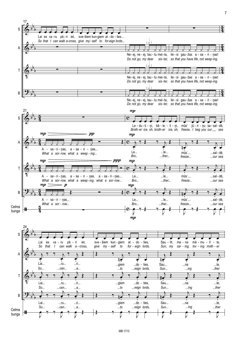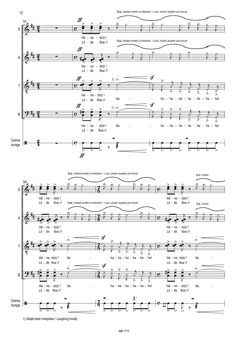Skaļi, haotiski smiekli un kliedzieni / *Loud, chaotic laughter and shouts*



1) Skaļā balsī smejoties / *Laughing loudly*

12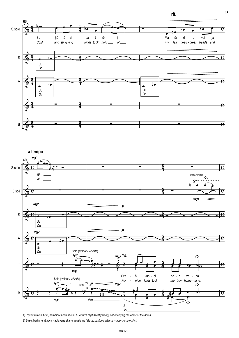rit.

 $15$ 





1) Izpildīt ritmiski brīvi, nemainot nošu secību / Perform rhythmically freely, not changing the order of the notes

2) Basu, baritonu attacca - aptuvens skaņu augstums / Bass, baritone attacca - approximate pitch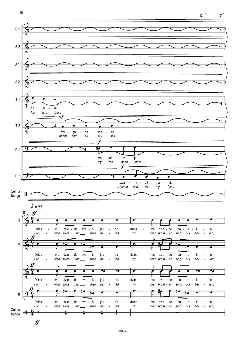